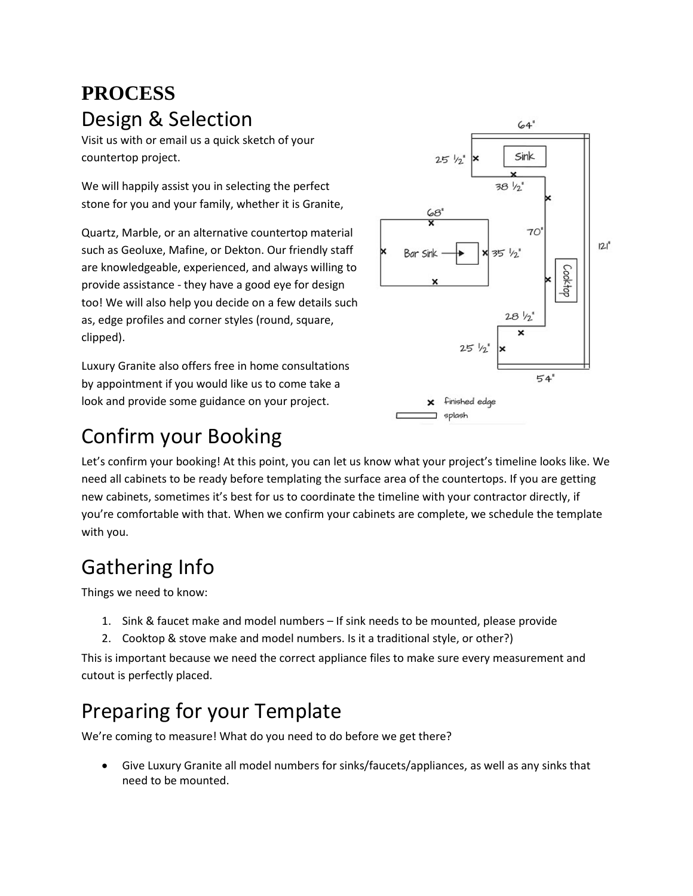#### **PROCESS** Design & Selection

Visit us with or email us a quick sketch of your countertop project.

We will happily assist you in selecting the perfect stone for you and your family, whether it is Granite,

Quartz, Marble, or an alternative countertop material such as Geoluxe, Mafine, or Dekton. Our friendly staff are knowledgeable, experienced, and always willing to provide assistance - they have a good eye for design too! We will also help you decide on a few details such as, edge profiles and corner styles (round, square, clipped).

Luxury Granite also offers free in home consultations by appointment if you would like us to come take a look and provide some guidance on your project.



#### Confirm your Booking

Let's confirm your booking! At this point, you can let us know what your project's timeline looks like. We need all cabinets to be ready before templating the surface area of the countertops. If you are getting new cabinets, sometimes it's best for us to coordinate the timeline with your contractor directly, if you're comfortable with that. When we confirm your cabinets are complete, we schedule the template with you.

## Gathering Info

Things we need to know:

- 1. Sink & faucet make and model numbers If sink needs to be mounted, please provide
- 2. Cooktop & stove make and model numbers. Is it a traditional style, or other?)

This is important because we need the correct appliance files to make sure every measurement and cutout is perfectly placed.

## Preparing for your Template

We're coming to measure! What do you need to do before we get there?

• Give Luxury Granite all model numbers for sinks/faucets/appliances, as well as any sinks that need to be mounted.